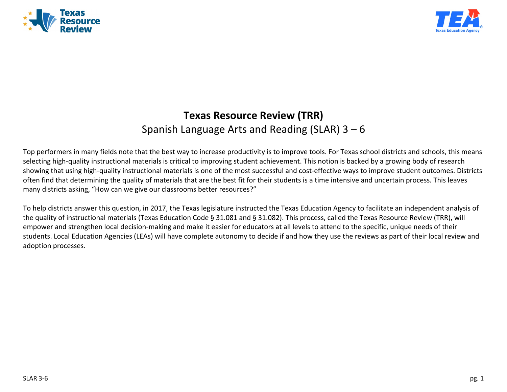



# **Texas Resource Review (TRR)** Spanish Language Arts and Reading (SLAR) 3 – 6

Top performers in many fields note that the best way to increase productivity is to improve tools. For Texas school districts and schools, this means selecting high-quality instructional materials is critical to improving student achievement. This notion is backed by a growing body of research showing that using high-quality instructional materials is one of the most successful and cost-effective ways to improve student outcomes. Districts often find that determining the quality of materials that are the best fit for their students is a time intensive and uncertain process. This leaves many districts asking, "How can we give our classrooms better resources?"

To help districts answer this question, in 2017, the Texas legislature instructed the Texas Education Agency to facilitate an independent analysis of the quality of instructional materials (Texas Education Code § 31.081 and § 31.082). This process, called the Texas Resource Review (TRR), will empower and strengthen local decision-making and make it easier for educators at all levels to attend to the specific, unique needs of their students. Local Education Agencies (LEAs) will have complete autonomy to decide if and how they use the reviews as part of their local review and adoption processes.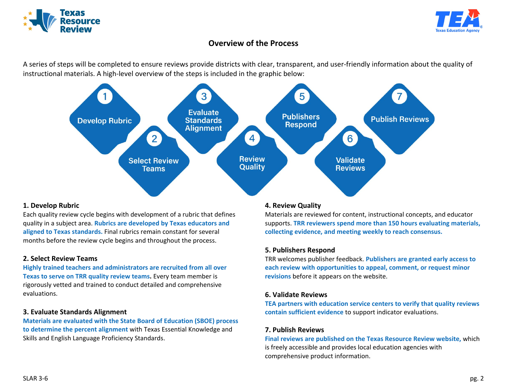



## **Overview of the Process**

A series of steps will be completed to ensure reviews provide districts with clear, transparent, and user-friendly information about the quality of instructional materials. A high-level overview of the steps is included in the graphic below:



#### **1. Develop Rubric**

Each quality review cycle begins with development of a rubric that defines quality in a subject area. **Rubrics are developed by Texas educators and aligned to Texas standards.** Final rubrics remain constant for several months before the review cycle begins and throughout the process.

## **2. Select Review Teams**

**Highly trained teachers and administrators are recruited from all over Texas to serve on TRR quality review teams.** Every team member is rigorously vetted and trained to conduct detailed and comprehensive evaluations.

## **3. Evaluate Standards Alignment**

**Materials are evaluated with the State Board of Education (SBOE) process to determine the percent alignment** with Texas Essential Knowledge and Skills and English Language Proficiency Standards.

## **4. Review Quality**

Materials are reviewed for content, instructional concepts, and educator supports. **TRR reviewers spend more than 150 hours evaluating materials, collecting evidence, and meeting weekly to reach consensus.**

#### **5. Publishers Respond**

TRR welcomes publisher feedback. **Publishers are granted early access to each review with opportunities to appeal, comment, or request minor revisions** before it appears on the website.

#### **6. Validate Reviews**

**TEA partners with education service centers to verify that quality reviews contain sufficient evidence** to support indicator evaluations.

#### **7. Publish Reviews**

**Final reviews are published on the Texas Resource Review website,** which is freely accessible and provides local education agencies with comprehensive product information.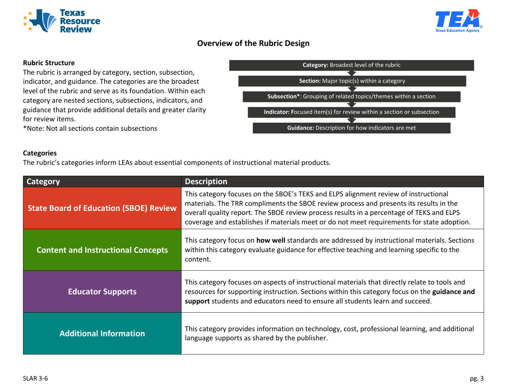



## **Overview of the Rubric Design**

## **Rubric Structure**

The rubric is arranged by category, section, subsection, indicator, and guidance. The categories are the broadest level of the rubric and serve as its foundation. Within each category are nested sections, subsections, indicators, and guidance that provide additional details and greater clarity for review items.

\*Note: Not all sections contain subsections

# **Guidance:** Description for how indicators are met **Indicator: F**ocused item(s) for review within a section or subsection **Subsection\***: Grouping of related topics/themes within a section **Section:** Major topic(s) within a category **Category:** Broadest level of the rubric

#### **Categories**

The rubric's categories inform LEAs about essential components of instructional material products.

| <b>Category</b>                               | <b>Description</b>                                                                                                                                                                                                                                                                                                                                                      |
|-----------------------------------------------|-------------------------------------------------------------------------------------------------------------------------------------------------------------------------------------------------------------------------------------------------------------------------------------------------------------------------------------------------------------------------|
| <b>State Board of Education (SBOE) Review</b> | This category focuses on the SBOE's TEKS and ELPS alignment review of instructional<br>materials. The TRR compliments the SBOE review process and presents its results in the<br>overall quality report. The SBOE review process results in a percentage of TEKS and ELPS<br>coverage and establishes if materials meet or do not meet requirements for state adoption. |
| <b>Content and Instructional Concepts</b>     | This category focus on <b>how well</b> standards are addressed by instructional materials. Sections<br>within this category evaluate guidance for effective teaching and learning specific to the<br>content.                                                                                                                                                           |
| <b>Educator Supports</b>                      | This category focuses on aspects of instructional materials that directly relate to tools and<br>resources for supporting instruction. Sections within this category focus on the guidance and<br>support students and educators need to ensure all students learn and succeed.                                                                                         |
| <b>Additional Information</b>                 | This category provides information on technology, cost, professional learning, and additional<br>language supports as shared by the publisher.                                                                                                                                                                                                                          |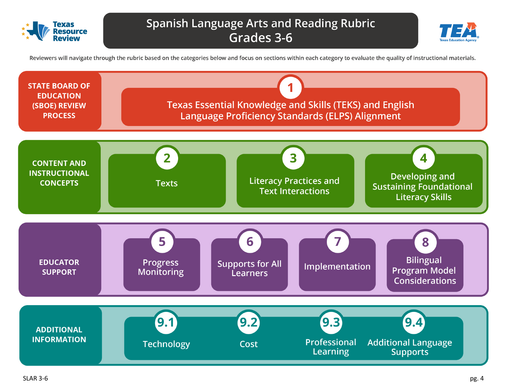



Reviewers will navigate through the rubric based on the categories below and focus on sections within each category to evaluate the quality of instructional materials.

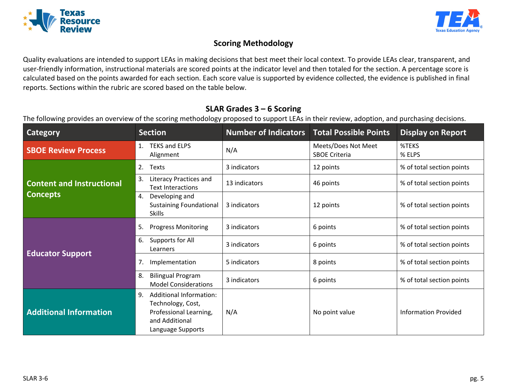



## **Scoring Methodology**

Quality evaluations are intended to support LEAs in making decisions that best meet their local context. To provide LEAs clear, transparent, and user-friendly information, instructional materials are scored points at the indicator level and then totaled for the section. A percentage score is calculated based on the points awarded for each section. Each score value is supported by evidence collected, the evidence is published in final reports. Sections within the rubric are scored based on the table below.

## **SLAR Grades 3 – 6 Scoring**

The following provides an overview of the scoring methodology proposed to support LEAs in their review, adoption, and purchasing decisions.

| <b>Category</b>                  | <b>Section</b>                                                                                                             | <b>Number of Indicators</b> | <b>Total Possible Points</b>                | <b>Display on Report</b>    |
|----------------------------------|----------------------------------------------------------------------------------------------------------------------------|-----------------------------|---------------------------------------------|-----------------------------|
| <b>SBOE Review Process</b>       | <b>TEKS and ELPS</b><br>1.<br>Alignment                                                                                    | N/A                         | Meets/Does Not Meet<br><b>SBOE Criteria</b> | %TEKS<br>% ELPS             |
|                                  | 2.<br>Texts                                                                                                                | 3 indicators                | 12 points                                   | % of total section points   |
| <b>Content and Instructional</b> | Literacy Practices and<br>3.<br><b>Text Interactions</b>                                                                   | 13 indicators               | 46 points                                   | % of total section points   |
| <b>Concepts</b>                  | Developing and<br>4.<br><b>Sustaining Foundational</b><br><b>Skills</b>                                                    | 3 indicators                | 12 points                                   | % of total section points   |
|                                  | <b>Progress Monitoring</b><br>5.                                                                                           | 3 indicators                | 6 points                                    | % of total section points   |
| <b>Educator Support</b>          | Supports for All<br>6.<br>Learners                                                                                         | 3 indicators                | 6 points                                    | % of total section points   |
|                                  | 7.<br>Implementation                                                                                                       | 5 indicators                | 8 points                                    | % of total section points   |
|                                  | <b>Bilingual Program</b><br>8.<br><b>Model Considerations</b>                                                              | 3 indicators                | 6 points                                    | % of total section points   |
| <b>Additional Information</b>    | <b>Additional Information:</b><br>9.<br>Technology, Cost,<br>Professional Learning,<br>and Additional<br>Language Supports | N/A                         | No point value                              | <b>Information Provided</b> |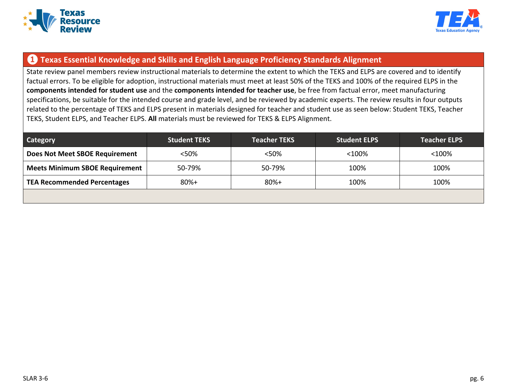



## **❶ Texas Essential Knowledge and Skills and English Language Proficiency Standards Alignment**

State review panel members review instructional materials to determine the extent to which the TEKS and ELPS are covered and to identify factual errors. To be eligible for adoption, instructional materials must meet at least 50% of the TEKS and 100% of the required ELPS in the **components intended for student use** and the **components intended for teacher use**, be free from factual error, meet manufacturing specifications, be suitable for the intended course and grade level, and be reviewed by academic experts. The review results in four outputs related to the percentage of TEKS and ELPS present in materials designed for teacher and student use as seen below: Student TEKS, Teacher TEKS, Student ELPS, and Teacher ELPS. **All** materials must be reviewed for TEKS & ELPS Alignment.

| <b>Category</b>                       | <b>Student TEKS</b> | <b>Teacher TEKS</b> | <b>Student ELPS</b> | <b>Teacher ELPS</b> |
|---------------------------------------|---------------------|---------------------|---------------------|---------------------|
| <b>Does Not Meet SBOE Requirement</b> | $<$ 50%             | <50%                | $<$ 100%            | $<$ 100%            |
| <b>Meets Minimum SBOE Requirement</b> | 50-79%              | 50-79%              | 100%                | 100%                |
| <b>TEA Recommended Percentages</b>    | $80%+$              | $80%+$              | 100%                | 100%                |
|                                       |                     |                     |                     |                     |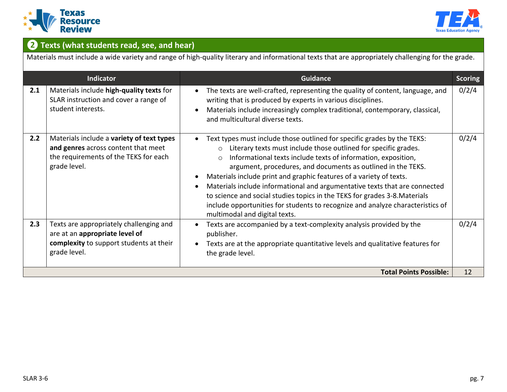



# **❷ Texts (what students read, see, and hear)**

Materials must include a wide variety and range of high-quality literary and informational texts that are appropriately challenging for the grade.

|     | Indicator                                                                                                                                 | <b>Guidance</b>                                                                                                                                                                                                                                                                                                                                                                                                                                                                                                                                                                                                                                         | <b>Scoring</b> |
|-----|-------------------------------------------------------------------------------------------------------------------------------------------|---------------------------------------------------------------------------------------------------------------------------------------------------------------------------------------------------------------------------------------------------------------------------------------------------------------------------------------------------------------------------------------------------------------------------------------------------------------------------------------------------------------------------------------------------------------------------------------------------------------------------------------------------------|----------------|
| 2.1 | Materials include high-quality texts for<br>SLAR instruction and cover a range of<br>student interests.                                   | The texts are well-crafted, representing the quality of content, language, and<br>writing that is produced by experts in various disciplines.<br>Materials include increasingly complex traditional, contemporary, classical,<br>and multicultural diverse texts.                                                                                                                                                                                                                                                                                                                                                                                       | 0/2/4          |
| 2.2 | Materials include a variety of text types<br>and genres across content that meet<br>the requirements of the TEKS for each<br>grade level. | Text types must include those outlined for specific grades by the TEKS:<br>Literary texts must include those outlined for specific grades.<br>$\circ$<br>Informational texts include texts of information, exposition,<br>$\circ$<br>argument, procedures, and documents as outlined in the TEKS.<br>Materials include print and graphic features of a variety of texts.<br>Materials include informational and argumentative texts that are connected<br>to science and social studies topics in the TEKS for grades 3-8. Materials<br>include opportunities for students to recognize and analyze characteristics of<br>multimodal and digital texts. | 0/2/4          |
| 2.3 | Texts are appropriately challenging and<br>are at an appropriate level of<br>complexity to support students at their<br>grade level.      | Texts are accompanied by a text-complexity analysis provided by the<br>publisher.<br>Texts are at the appropriate quantitative levels and qualitative features for<br>the grade level.                                                                                                                                                                                                                                                                                                                                                                                                                                                                  | 0/2/4          |
|     |                                                                                                                                           | <b>Total Points Possible:</b>                                                                                                                                                                                                                                                                                                                                                                                                                                                                                                                                                                                                                           | 12             |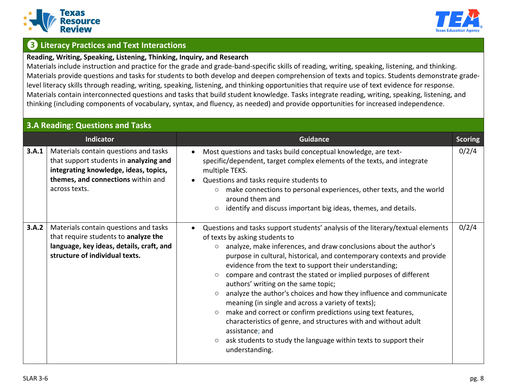



## **❸ Literacy Practices and Text Interactions**

#### **Reading, Writing, Speaking, Listening, Thinking, Inquiry, and Research**

Materials include instruction and practice for the grade and grade-band-specific skills of reading, writing, speaking, listening, and thinking. Materials provide questions and tasks for students to both develop and deepen comprehension of texts and topics. Students demonstrate gradelevel literacy skills through reading, writing, speaking, listening, and thinking opportunities that require use of text evidence for response. Materials contain interconnected questions and tasks that build student knowledge. Tasks integrate reading, writing, speaking, listening, and thinking (including components of vocabulary, syntax, and fluency, as needed) and provide opportunities for increased independence.

## **3.A Reading: Questions and Tasks**

|       | Indicator                                                                                                                                                                       | <b>Guidance</b>                                                                                                                                                                                                                                                                                                                                                                                                                                                                                                                                                                                                                                                                                                                                                                                                                                                       | <b>Scoring</b> |
|-------|---------------------------------------------------------------------------------------------------------------------------------------------------------------------------------|-----------------------------------------------------------------------------------------------------------------------------------------------------------------------------------------------------------------------------------------------------------------------------------------------------------------------------------------------------------------------------------------------------------------------------------------------------------------------------------------------------------------------------------------------------------------------------------------------------------------------------------------------------------------------------------------------------------------------------------------------------------------------------------------------------------------------------------------------------------------------|----------------|
| 3.A.1 | Materials contain questions and tasks<br>that support students in analyzing and<br>integrating knowledge, ideas, topics,<br>themes, and connections within and<br>across texts. | Most questions and tasks build conceptual knowledge, are text-<br>specific/dependent, target complex elements of the texts, and integrate<br>multiple TEKS.<br>Questions and tasks require students to<br>$\bullet$<br>make connections to personal experiences, other texts, and the world<br>$\circ$<br>around them and<br>identify and discuss important big ideas, themes, and details.<br>$\circ$                                                                                                                                                                                                                                                                                                                                                                                                                                                                | 0/2/4          |
| 3.A.2 | Materials contain questions and tasks<br>that require students to analyze the<br>language, key ideas, details, craft, and<br>structure of individual texts.                     | Questions and tasks support students' analysis of the literary/textual elements<br>of texts by asking students to<br>analyze, make inferences, and draw conclusions about the author's<br>$\circ$<br>purpose in cultural, historical, and contemporary contexts and provide<br>evidence from the text to support their understanding;<br>compare and contrast the stated or implied purposes of different<br>$\circ$<br>authors' writing on the same topic;<br>analyze the author's choices and how they influence and communicate<br>$\circ$<br>meaning (in single and across a variety of texts);<br>make and correct or confirm predictions using text features,<br>$\circ$<br>characteristics of genre, and structures with and without adult<br>assistance; and<br>ask students to study the language within texts to support their<br>$\circ$<br>understanding. | 0/2/4          |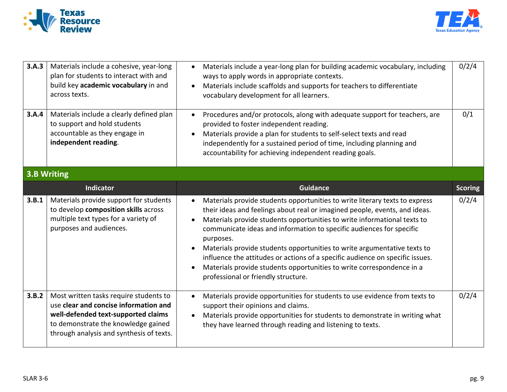



| 3.A.3 | Materials include a cohesive, year-long<br>plan for students to interact with and<br>build key academic vocabulary in and<br>across texts.                    | Materials include a year-long plan for building academic vocabulary, including<br>$\bullet$<br>ways to apply words in appropriate contexts.<br>Materials include scaffolds and supports for teachers to differentiate<br>vocabulary development for all learners.                                                                                                                                                                                                                                                                                                                                                                 | 0/2/4          |
|-------|---------------------------------------------------------------------------------------------------------------------------------------------------------------|-----------------------------------------------------------------------------------------------------------------------------------------------------------------------------------------------------------------------------------------------------------------------------------------------------------------------------------------------------------------------------------------------------------------------------------------------------------------------------------------------------------------------------------------------------------------------------------------------------------------------------------|----------------|
| 3.A.4 | Materials include a clearly defined plan<br>to support and hold students<br>accountable as they engage in<br>independent reading.                             | Procedures and/or protocols, along with adequate support for teachers, are<br>$\bullet$<br>provided to foster independent reading.<br>Materials provide a plan for students to self-select texts and read<br>independently for a sustained period of time, including planning and<br>accountability for achieving independent reading goals.                                                                                                                                                                                                                                                                                      | 0/1            |
|       | <b>3.B Writing</b>                                                                                                                                            |                                                                                                                                                                                                                                                                                                                                                                                                                                                                                                                                                                                                                                   |                |
|       | <b>Indicator</b>                                                                                                                                              | Guidance                                                                                                                                                                                                                                                                                                                                                                                                                                                                                                                                                                                                                          | <b>Scoring</b> |
| 3.B.1 | Materials provide support for students<br>to develop composition skills across<br>multiple text types for a variety of<br>purposes and audiences.             | Materials provide students opportunities to write literary texts to express<br>$\bullet$<br>their ideas and feelings about real or imagined people, events, and ideas.<br>Materials provide students opportunities to write informational texts to<br>$\bullet$<br>communicate ideas and information to specific audiences for specific<br>purposes.<br>Materials provide students opportunities to write argumentative texts to<br>influence the attitudes or actions of a specific audience on specific issues.<br>Materials provide students opportunities to write correspondence in a<br>professional or friendly structure. | 0/2/4          |
| 3.B.2 | Most written tasks require students to<br>use clear and concise information and<br>well-defended text-supported claims<br>to demonstrate the knowledge gained | Materials provide opportunities for students to use evidence from texts to<br>$\bullet$<br>support their opinions and claims.<br>Materials provide opportunities for students to demonstrate in writing what<br>they have learned through reading and listening to texts.                                                                                                                                                                                                                                                                                                                                                         | 0/2/4          |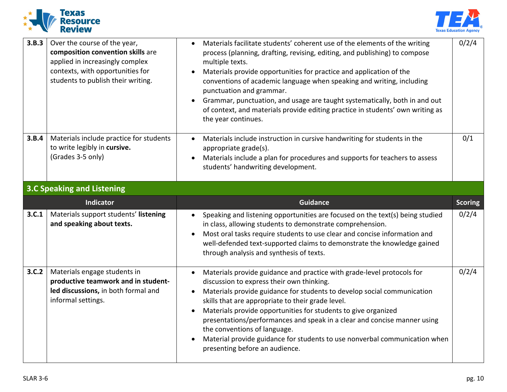



| 3.B.3 | Over the course of the year,<br>composition convention skills are<br>applied in increasingly complex<br>contexts, with opportunities for<br>students to publish their writing. | Materials facilitate students' coherent use of the elements of the writing<br>process (planning, drafting, revising, editing, and publishing) to compose<br>multiple texts.<br>Materials provide opportunities for practice and application of the<br>$\bullet$<br>conventions of academic language when speaking and writing, including<br>punctuation and grammar.<br>Grammar, punctuation, and usage are taught systematically, both in and out<br>of context, and materials provide editing practice in students' own writing as<br>the year continues. | 0/2/4          |
|-------|--------------------------------------------------------------------------------------------------------------------------------------------------------------------------------|-------------------------------------------------------------------------------------------------------------------------------------------------------------------------------------------------------------------------------------------------------------------------------------------------------------------------------------------------------------------------------------------------------------------------------------------------------------------------------------------------------------------------------------------------------------|----------------|
| 3.B.4 | Materials include practice for students<br>to write legibly in cursive.<br>(Grades 3-5 only)                                                                                   | Materials include instruction in cursive handwriting for students in the<br>appropriate grade(s).<br>Materials include a plan for procedures and supports for teachers to assess<br>students' handwriting development.                                                                                                                                                                                                                                                                                                                                      | 0/1            |
|       | <b>3.C Speaking and Listening</b>                                                                                                                                              |                                                                                                                                                                                                                                                                                                                                                                                                                                                                                                                                                             |                |
|       |                                                                                                                                                                                |                                                                                                                                                                                                                                                                                                                                                                                                                                                                                                                                                             |                |
|       | <b>Indicator</b>                                                                                                                                                               | <b>Guidance</b>                                                                                                                                                                                                                                                                                                                                                                                                                                                                                                                                             | <b>Scoring</b> |
| 3.C.1 | Materials support students' listening<br>and speaking about texts.                                                                                                             | Speaking and listening opportunities are focused on the text(s) being studied<br>in class, allowing students to demonstrate comprehension.<br>Most oral tasks require students to use clear and concise information and<br>$\bullet$<br>well-defended text-supported claims to demonstrate the knowledge gained<br>through analysis and synthesis of texts.                                                                                                                                                                                                 | 0/2/4          |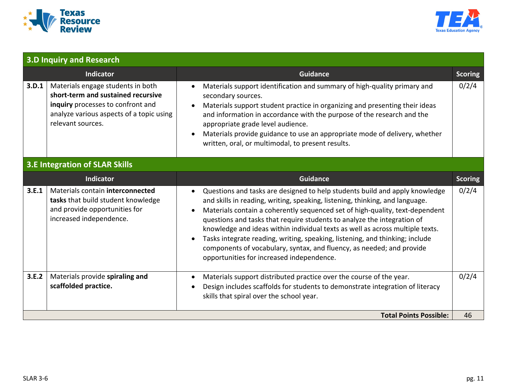



| <b>3.D Inquiry and Research</b> |                                                                                                                                                                               |                                                                                                                                                                                                                                                                                                                                                                                                                                                                                                                                                                                                                                         |                |
|---------------------------------|-------------------------------------------------------------------------------------------------------------------------------------------------------------------------------|-----------------------------------------------------------------------------------------------------------------------------------------------------------------------------------------------------------------------------------------------------------------------------------------------------------------------------------------------------------------------------------------------------------------------------------------------------------------------------------------------------------------------------------------------------------------------------------------------------------------------------------------|----------------|
|                                 | Indicator                                                                                                                                                                     | <b>Guidance</b>                                                                                                                                                                                                                                                                                                                                                                                                                                                                                                                                                                                                                         | <b>Scoring</b> |
| 3.D.1                           | Materials engage students in both<br>short-term and sustained recursive<br>inquiry processes to confront and<br>analyze various aspects of a topic using<br>relevant sources. | Materials support identification and summary of high-quality primary and<br>$\bullet$<br>secondary sources.<br>Materials support student practice in organizing and presenting their ideas<br>and information in accordance with the purpose of the research and the<br>appropriate grade level audience.<br>Materials provide guidance to use an appropriate mode of delivery, whether<br>written, oral, or multimodal, to present results.                                                                                                                                                                                            | 0/2/4          |
|                                 | <b>3.E Integration of SLAR Skills</b>                                                                                                                                         |                                                                                                                                                                                                                                                                                                                                                                                                                                                                                                                                                                                                                                         |                |
|                                 | Indicator                                                                                                                                                                     | <b>Guidance</b>                                                                                                                                                                                                                                                                                                                                                                                                                                                                                                                                                                                                                         | <b>Scoring</b> |
| 3.E.1                           | Materials contain interconnected<br>tasks that build student knowledge<br>and provide opportunities for<br>increased independence.                                            | Questions and tasks are designed to help students build and apply knowledge<br>$\bullet$<br>and skills in reading, writing, speaking, listening, thinking, and language.<br>Materials contain a coherently sequenced set of high-quality, text-dependent<br>$\bullet$<br>questions and tasks that require students to analyze the integration of<br>knowledge and ideas within individual texts as well as across multiple texts.<br>Tasks integrate reading, writing, speaking, listening, and thinking; include<br>components of vocabulary, syntax, and fluency, as needed; and provide<br>opportunities for increased independence. | 0/2/4          |
| 3.E.2                           | Materials provide spiraling and<br>scaffolded practice.                                                                                                                       | Materials support distributed practice over the course of the year.<br>$\bullet$<br>Design includes scaffolds for students to demonstrate integration of literacy<br>$\bullet$<br>skills that spiral over the school year.                                                                                                                                                                                                                                                                                                                                                                                                              | 0/2/4          |
|                                 |                                                                                                                                                                               | <b>Total Points Possible:</b>                                                                                                                                                                                                                                                                                                                                                                                                                                                                                                                                                                                                           | 46             |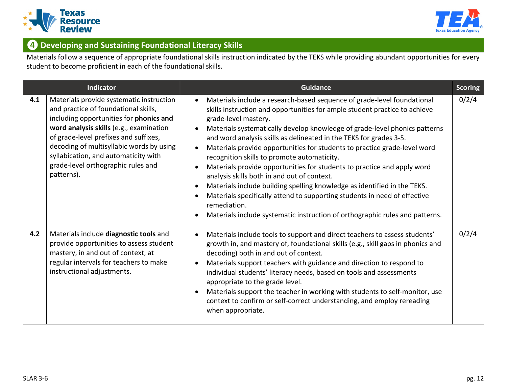



## $\bullet$  Developing and Sustaining Foundational Literacy Skills

Materials follow a sequence of appropriate foundational skills instruction indicated by the TEKS while providing abundant opportunities for every student to become proficient in each of the foundational skills.

|     | <b>Indicator</b>                                                                                                                                                                                                                                                                                                                                        | <b>Guidance</b>                                                                                                                                                                                                                                                                                                                                                                                                                                                                                                                                                                                                                                                                                                                                                                                                                                  | <b>Scoring</b> |
|-----|---------------------------------------------------------------------------------------------------------------------------------------------------------------------------------------------------------------------------------------------------------------------------------------------------------------------------------------------------------|--------------------------------------------------------------------------------------------------------------------------------------------------------------------------------------------------------------------------------------------------------------------------------------------------------------------------------------------------------------------------------------------------------------------------------------------------------------------------------------------------------------------------------------------------------------------------------------------------------------------------------------------------------------------------------------------------------------------------------------------------------------------------------------------------------------------------------------------------|----------------|
| 4.1 | Materials provide systematic instruction<br>and practice of foundational skills,<br>including opportunities for phonics and<br>word analysis skills (e.g., examination<br>of grade-level prefixes and suffixes,<br>decoding of multisyllabic words by using<br>syllabication, and automaticity with<br>grade-level orthographic rules and<br>patterns). | Materials include a research-based sequence of grade-level foundational<br>skills instruction and opportunities for ample student practice to achieve<br>grade-level mastery.<br>Materials systematically develop knowledge of grade-level phonics patterns<br>and word analysis skills as delineated in the TEKS for grades 3-5.<br>Materials provide opportunities for students to practice grade-level word<br>recognition skills to promote automaticity.<br>Materials provide opportunities for students to practice and apply word<br>analysis skills both in and out of context.<br>Materials include building spelling knowledge as identified in the TEKS.<br>Materials specifically attend to supporting students in need of effective<br>remediation.<br>Materials include systematic instruction of orthographic rules and patterns. | 0/2/4          |
| 4.2 | Materials include diagnostic tools and<br>provide opportunities to assess student<br>mastery, in and out of context, at<br>regular intervals for teachers to make<br>instructional adjustments.                                                                                                                                                         | Materials include tools to support and direct teachers to assess students'<br>growth in, and mastery of, foundational skills (e.g., skill gaps in phonics and<br>decoding) both in and out of context.<br>Materials support teachers with guidance and direction to respond to<br>individual students' literacy needs, based on tools and assessments<br>appropriate to the grade level.<br>Materials support the teacher in working with students to self-monitor, use<br>context to confirm or self-correct understanding, and employ rereading<br>when appropriate.                                                                                                                                                                                                                                                                           | 0/2/4          |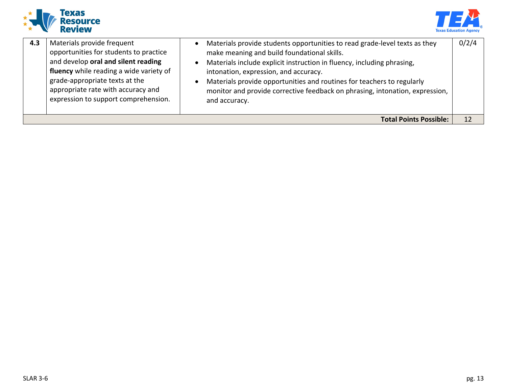



| 4.3 | Materials provide frequent<br>opportunities for students to practice<br>and develop oral and silent reading<br>fluency while reading a wide variety of<br>grade-appropriate texts at the<br>appropriate rate with accuracy and<br>expression to support comprehension. | Materials provide students opportunities to read grade-level texts as they<br>make meaning and build foundational skills.<br>Materials include explicit instruction in fluency, including phrasing,<br>intonation, expression, and accuracy.<br>Materials provide opportunities and routines for teachers to regularly<br>monitor and provide corrective feedback on phrasing, intonation, expression,<br>and accuracy. | 0/2/4 |
|-----|------------------------------------------------------------------------------------------------------------------------------------------------------------------------------------------------------------------------------------------------------------------------|-------------------------------------------------------------------------------------------------------------------------------------------------------------------------------------------------------------------------------------------------------------------------------------------------------------------------------------------------------------------------------------------------------------------------|-------|
|     |                                                                                                                                                                                                                                                                        | <b>Total Points Possible:</b>                                                                                                                                                                                                                                                                                                                                                                                           | 12    |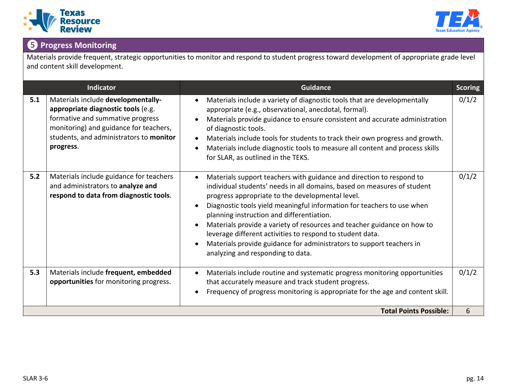



# **❺ Progress Monitoring**

Materials provide frequent, strategic opportunities to monitor and respond to student progress toward development of appropriate grade level and content skill development.

|     | Indicator                                                                                                                                                                                                      | Guidance                                                                                                                                                                                                                                                                                                                                                                                                                                                                                                                                                                                     | <b>Scoring</b> |
|-----|----------------------------------------------------------------------------------------------------------------------------------------------------------------------------------------------------------------|----------------------------------------------------------------------------------------------------------------------------------------------------------------------------------------------------------------------------------------------------------------------------------------------------------------------------------------------------------------------------------------------------------------------------------------------------------------------------------------------------------------------------------------------------------------------------------------------|----------------|
| 5.1 | Materials include developmentally-<br>appropriate diagnostic tools (e.g.<br>formative and summative progress<br>monitoring) and guidance for teachers,<br>students, and administrators to monitor<br>progress. | Materials include a variety of diagnostic tools that are developmentally<br>appropriate (e.g., observational, anecdotal, formal).<br>Materials provide guidance to ensure consistent and accurate administration<br>of diagnostic tools.<br>Materials include tools for students to track their own progress and growth.<br>Materials include diagnostic tools to measure all content and process skills<br>for SLAR, as outlined in the TEKS.                                                                                                                                               | 0/1/2          |
| 5.2 | Materials include guidance for teachers<br>and administrators to analyze and<br>respond to data from diagnostic tools.                                                                                         | Materials support teachers with guidance and direction to respond to<br>$\bullet$<br>individual students' needs in all domains, based on measures of student<br>progress appropriate to the developmental level.<br>Diagnostic tools yield meaningful information for teachers to use when<br>planning instruction and differentiation.<br>Materials provide a variety of resources and teacher guidance on how to<br>leverage different activities to respond to student data.<br>Materials provide guidance for administrators to support teachers in<br>analyzing and responding to data. | 0/1/2          |
| 5.3 | Materials include frequent, embedded<br>opportunities for monitoring progress.                                                                                                                                 | Materials include routine and systematic progress monitoring opportunities<br>that accurately measure and track student progress.<br>Frequency of progress monitoring is appropriate for the age and content skill.                                                                                                                                                                                                                                                                                                                                                                          | 0/1/2          |
|     |                                                                                                                                                                                                                | <b>Total Points Possible:</b>                                                                                                                                                                                                                                                                                                                                                                                                                                                                                                                                                                | 6              |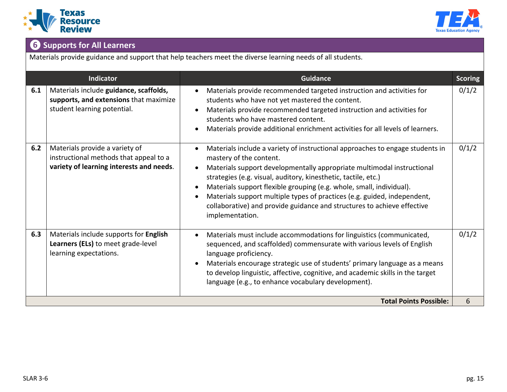



# **❻ Supports for All Learners**

Materials provide guidance and support that help teachers meet the diverse learning needs of all students.

|     | <b>Indicator</b>                                                                                                     | <b>Guidance</b>                                                                                                                                                                                                                                                                                                                                                                                                                                                                                        | <b>Scoring</b> |
|-----|----------------------------------------------------------------------------------------------------------------------|--------------------------------------------------------------------------------------------------------------------------------------------------------------------------------------------------------------------------------------------------------------------------------------------------------------------------------------------------------------------------------------------------------------------------------------------------------------------------------------------------------|----------------|
| 6.1 | Materials include guidance, scaffolds,<br>supports, and extensions that maximize<br>student learning potential.      | Materials provide recommended targeted instruction and activities for<br>students who have not yet mastered the content.<br>Materials provide recommended targeted instruction and activities for<br>students who have mastered content.<br>Materials provide additional enrichment activities for all levels of learners.                                                                                                                                                                             | 0/1/2          |
| 6.2 | Materials provide a variety of<br>instructional methods that appeal to a<br>variety of learning interests and needs. | Materials include a variety of instructional approaches to engage students in<br>mastery of the content.<br>Materials support developmentally appropriate multimodal instructional<br>strategies (e.g. visual, auditory, kinesthetic, tactile, etc.)<br>Materials support flexible grouping (e.g. whole, small, individual).<br>Materials support multiple types of practices (e.g. guided, independent,<br>collaborative) and provide guidance and structures to achieve effective<br>implementation. | 0/1/2          |
| 6.3 | Materials include supports for English<br>Learners (ELs) to meet grade-level<br>learning expectations.               | Materials must include accommodations for linguistics (communicated,<br>sequenced, and scaffolded) commensurate with various levels of English<br>language proficiency.<br>Materials encourage strategic use of students' primary language as a means<br>to develop linguistic, affective, cognitive, and academic skills in the target<br>language (e.g., to enhance vocabulary development).                                                                                                         | 0/1/2          |
|     |                                                                                                                      | <b>Total Points Possible:</b>                                                                                                                                                                                                                                                                                                                                                                                                                                                                          | 6              |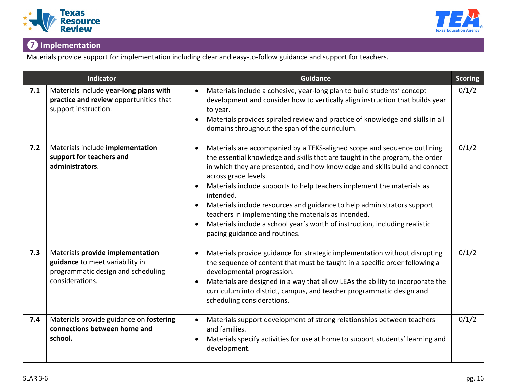



# **❼ Implementation**

Materials provide support for implementation including clear and easy-to-follow guidance and support for teachers.

| <b>Indicator</b> |                                                                                                                              | <b>Guidance</b>                                                                                                                                                                                                                                                                                                                                                                                                                                                                                                                                                                                          | <b>Scoring</b> |
|------------------|------------------------------------------------------------------------------------------------------------------------------|----------------------------------------------------------------------------------------------------------------------------------------------------------------------------------------------------------------------------------------------------------------------------------------------------------------------------------------------------------------------------------------------------------------------------------------------------------------------------------------------------------------------------------------------------------------------------------------------------------|----------------|
| 7.1              | Materials include year-long plans with<br>practice and review opportunities that<br>support instruction.                     | Materials include a cohesive, year-long plan to build students' concept<br>development and consider how to vertically align instruction that builds year<br>to year.<br>Materials provides spiraled review and practice of knowledge and skills in all<br>domains throughout the span of the curriculum.                                                                                                                                                                                                                                                                                                 | 0/1/2          |
| 7.2              | Materials include implementation<br>support for teachers and<br>administrators.                                              | Materials are accompanied by a TEKS-aligned scope and sequence outlining<br>the essential knowledge and skills that are taught in the program, the order<br>in which they are presented, and how knowledge and skills build and connect<br>across grade levels.<br>Materials include supports to help teachers implement the materials as<br>intended.<br>Materials include resources and guidance to help administrators support<br>teachers in implementing the materials as intended.<br>Materials include a school year's worth of instruction, including realistic<br>pacing guidance and routines. | 0/1/2          |
| 7.3              | Materials provide implementation<br>guidance to meet variability in<br>programmatic design and scheduling<br>considerations. | Materials provide guidance for strategic implementation without disrupting<br>the sequence of content that must be taught in a specific order following a<br>developmental progression.<br>Materials are designed in a way that allow LEAs the ability to incorporate the<br>curriculum into district, campus, and teacher programmatic design and<br>scheduling considerations.                                                                                                                                                                                                                         | 0/1/2          |
| 7.4              | Materials provide guidance on fostering<br>connections between home and<br>school.                                           | Materials support development of strong relationships between teachers<br>and families.<br>Materials specify activities for use at home to support students' learning and<br>development.                                                                                                                                                                                                                                                                                                                                                                                                                | 0/1/2          |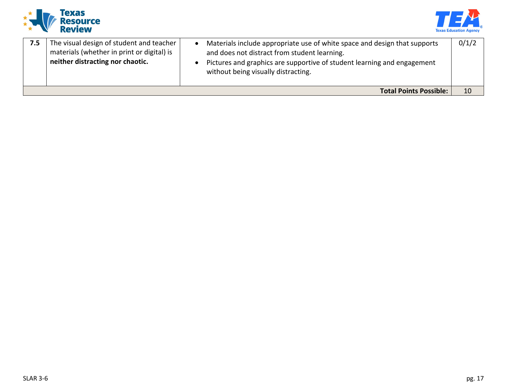



| 7.5 | The visual design of student and teacher<br>materials (whether in print or digital) is<br>neither distracting nor chaotic. | Materials include appropriate use of white space and design that supports<br>and does not distract from student learning.<br>Pictures and graphics are supportive of student learning and engagement<br>without being visually distracting. | 0/1/2 |  |  |
|-----|----------------------------------------------------------------------------------------------------------------------------|---------------------------------------------------------------------------------------------------------------------------------------------------------------------------------------------------------------------------------------------|-------|--|--|
|     | <b>Total Points Possible:</b>                                                                                              |                                                                                                                                                                                                                                             |       |  |  |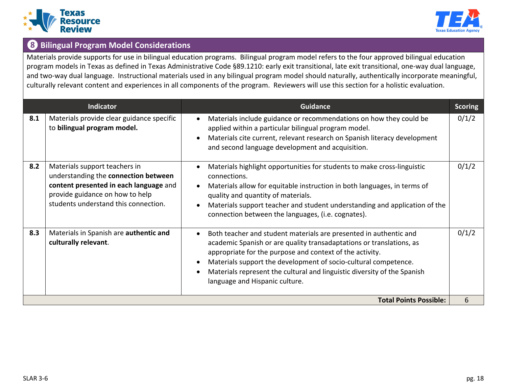



## **❽ Bilingual Program Model Considerations**

Materials provide supports for use in bilingual education programs. Bilingual program model refers to the four approved bilingual education program models in Texas as defined in Texas Administrative Code §89.1210: early exit transitional, late exit transitional, one-way dual language, and two-way dual language. Instructional materials used in any bilingual program model should naturally, authentically incorporate meaningful, culturally relevant content and experiences in all components of the program. Reviewers will use this section for a holistic evaluation.

|                               | <b>Indicator</b>                                                                                                                                                                           | <b>Guidance</b>                                                                                                                                                                                                                                                                                                                                                                                     | <b>Scoring</b> |  |
|-------------------------------|--------------------------------------------------------------------------------------------------------------------------------------------------------------------------------------------|-----------------------------------------------------------------------------------------------------------------------------------------------------------------------------------------------------------------------------------------------------------------------------------------------------------------------------------------------------------------------------------------------------|----------------|--|
| 8.1                           | Materials provide clear guidance specific<br>to bilingual program model.                                                                                                                   | Materials include guidance or recommendations on how they could be<br>$\bullet$<br>applied within a particular bilingual program model.<br>Materials cite current, relevant research on Spanish literacy development<br>$\bullet$<br>and second language development and acquisition.                                                                                                               | 0/1/2          |  |
| 8.2                           | Materials support teachers in<br>understanding the connection between<br>content presented in each language and<br>provide guidance on how to help<br>students understand this connection. | Materials highlight opportunities for students to make cross-linguistic<br>$\bullet$<br>connections.<br>Materials allow for equitable instruction in both languages, in terms of<br>$\bullet$<br>quality and quantity of materials.<br>Materials support teacher and student understanding and application of the<br>$\bullet$<br>connection between the languages, (i.e. cognates).                | 0/1/2          |  |
| 8.3                           | Materials in Spanish are authentic and<br>culturally relevant.                                                                                                                             | Both teacher and student materials are presented in authentic and<br>$\bullet$<br>academic Spanish or are quality transadaptations or translations, as<br>appropriate for the purpose and context of the activity.<br>Materials support the development of socio-cultural competence.<br>Materials represent the cultural and linguistic diversity of the Spanish<br>language and Hispanic culture. | 0/1/2          |  |
| <b>Total Points Possible:</b> |                                                                                                                                                                                            |                                                                                                                                                                                                                                                                                                                                                                                                     |                |  |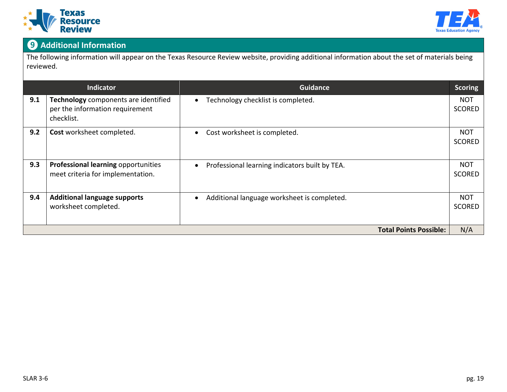



# **❾ Additional Information**

The following information will appear on the Texas Resource Review website, providing additional information about the set of materials being reviewed.

| <b>Indicator</b>              |                                                                                       | <b>Guidance</b>                                | <b>Scoring</b>              |  |
|-------------------------------|---------------------------------------------------------------------------------------|------------------------------------------------|-----------------------------|--|
| 9.1                           | Technology components are identified<br>per the information requirement<br>checklist. | Technology checklist is completed.             | <b>NOT</b><br><b>SCORED</b> |  |
| 9.2                           | Cost worksheet completed.                                                             | Cost worksheet is completed.                   | <b>NOT</b><br><b>SCORED</b> |  |
| 9.3                           | Professional learning opportunities<br>meet criteria for implementation.              | Professional learning indicators built by TEA. | <b>NOT</b><br><b>SCORED</b> |  |
| 9.4                           | <b>Additional language supports</b><br>worksheet completed.                           | Additional language worksheet is completed.    | <b>NOT</b><br><b>SCORED</b> |  |
| <b>Total Points Possible:</b> |                                                                                       |                                                |                             |  |